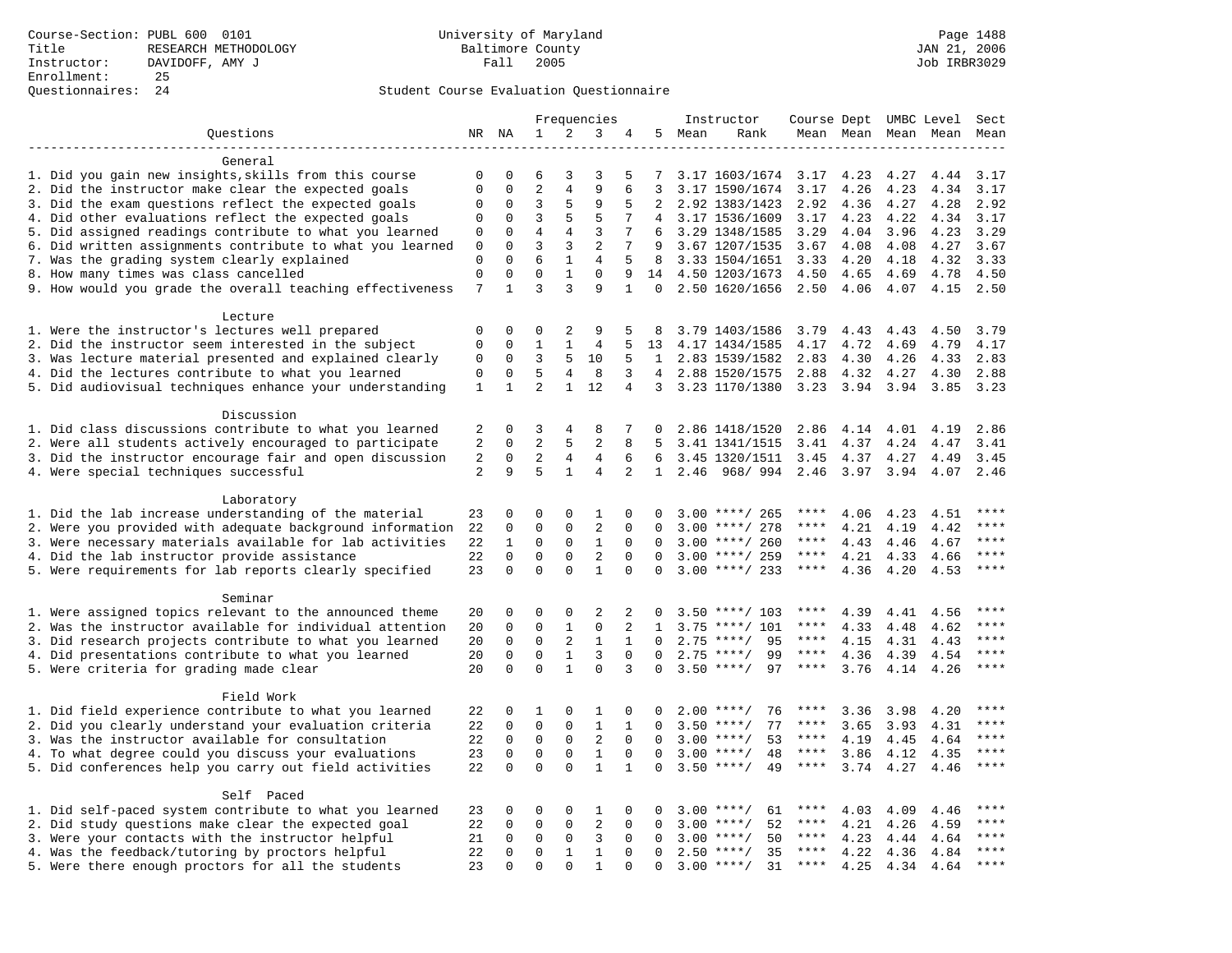|                                                            |                |              |                |                | Frequencies    |                |                 |        | Instructor             | Course Dept UMBC Level |              |              |                     | Sect        |
|------------------------------------------------------------|----------------|--------------|----------------|----------------|----------------|----------------|-----------------|--------|------------------------|------------------------|--------------|--------------|---------------------|-------------|
| Questions                                                  |                | NR NA        | $\mathbf{1}$   | 2              | 3              | 4              |                 | 5 Mean | Rank                   |                        |              |              | Mean Mean Mean Mean | Mean        |
|                                                            |                |              |                |                |                |                |                 |        |                        |                        |              |              |                     |             |
| General                                                    |                |              |                |                |                |                |                 |        |                        |                        |              |              |                     |             |
| 1. Did you gain new insights, skills from this course      | 0              | 0            | 6              | 3              | 3              | 5              | 7               |        | 3.17 1603/1674         | 3.17                   | 4.23         | 4.27         | 4.44                | 3.17        |
| 2. Did the instructor make clear the expected goals        | $\mathbf 0$    | $\mathbf 0$  | $\overline{2}$ | $\overline{4}$ | 9              | 6              | 3               |        | 3.17 1590/1674         | 3.17                   | 4.26         | 4.23         | 4.34                | 3.17        |
| 3. Did the exam questions reflect the expected goals       | 0              | $\mathbf 0$  | 3              | 5              | 9              | 5              | 2               |        | 2.92 1383/1423         | 2.92                   | 4.36         | 4.27         | 4.28                | 2.92        |
| 4. Did other evaluations reflect the expected goals        | 0              | $\mathbf 0$  | 3              | 5              | 5              | 7              | $\overline{4}$  |        | 3.17 1536/1609         | 3.17                   | 4.23         | 4.22         | 4.34                | 3.17        |
| 5. Did assigned readings contribute to what you learned    | $\mathsf 0$    | $\mathbf 0$  | $\,4$          | $\overline{4}$ | $\overline{3}$ | 7              | 6               |        | 3.29 1348/1585         | 3.29                   | 4.04         | 3.96         | 4.23                | 3.29        |
| 6. Did written assignments contribute to what you learned  | 0              | 0            | 3              | 3              | $\overline{2}$ | 7              | 9               |        | 3.67 1207/1535         | 3.67                   | 4.08         | 4.08         | 4.27                | 3.67        |
| 7. Was the grading system clearly explained                | $\mathbf 0$    | $\Omega$     | 6              | $\mathbf{1}$   | 4              | 5              | 8               |        | 3.33 1504/1651         | 3.33                   | 4.20         | 4.18         | 4.32                | 3.33        |
| 8. How many times was class cancelled                      | $\mathbf 0$    | $\Omega$     | $\Omega$       | $\mathbf{1}$   | $\Omega$       | 9              | 14              |        | 4.50 1203/1673         | 4.50                   | 4.65         | 4.69         | 4.78                | 4.50        |
| 9. How would you grade the overall teaching effectiveness  | 7              | $\mathbf{1}$ | 3              | 3              | 9              | $\mathbf{1}$   | $\Omega$        |        | 2.50 1620/1656         | 2.50                   | 4.06         | 4.07         | 4.15                | 2.50        |
|                                                            |                |              |                |                |                |                |                 |        |                        |                        |              |              |                     |             |
| Lecture<br>1. Were the instructor's lectures well prepared | 0              | $\mathbf 0$  | $\mathbf 0$    | 2              | 9              | 5              | 8               |        | 3.79 1403/1586         |                        |              |              | 4.50                | 3.79        |
| 2. Did the instructor seem interested in the subject       | 0              | $\mathbf 0$  | 1              | 1              | 4              | 5              | 13              |        | 4.17 1434/1585         | 3.79<br>4.17           | 4.43<br>4.72 | 4.43<br>4.69 | 4.79                | 4.17        |
| 3. Was lecture material presented and explained clearly    | 0              | 0            | 3              | 5              | 10             | 5              | $\mathbf{1}$    |        | 2.83 1539/1582         | 2.83                   |              | 4.26         | 4.33                | 2.83        |
|                                                            | 0              | $\mathbf 0$  | 5              | 4              | 8              | 3              | $4\overline{ }$ |        |                        |                        | 4.30         |              |                     | 2.88        |
| 4. Did the lectures contribute to what you learned         |                | $\mathbf{1}$ | $\overline{a}$ | $\mathbf{1}$   | 12             | $\overline{4}$ |                 |        | 2.88 1520/1575         | 2.88                   | 4.32         | 4.27         | 4.30<br>3.85        |             |
| 5. Did audiovisual techniques enhance your understanding   | 1              |              |                |                |                |                | 3               |        | 3.23 1170/1380         | 3.23                   | 3.94         | 3.94         |                     | 3.23        |
| Discussion                                                 |                |              |                |                |                |                |                 |        |                        |                        |              |              |                     |             |
| 1. Did class discussions contribute to what you learned    | 2              | 0            | 3              | 4              | 8              | 7              | 0               |        | 2.86 1418/1520         | 2.86                   | 4.14         | 4.01         | 4.19                | 2.86        |
| 2. Were all students actively encouraged to participate    | 2              | 0            | 2              | 5              | 2              | 8              | 5               |        | 3.41 1341/1515         | 3.41                   | 4.37         | 4.24         | 4.47                | 3.41        |
| 3. Did the instructor encourage fair and open discussion   | 2              | $\mathbf 0$  | 2              | $\overline{4}$ | $\overline{4}$ | 6              | 6               |        | 3.45 1320/1511         | 3.45                   | 4.37         | 4.27         | 4.49                | 3.45        |
| 4. Were special techniques successful                      | $\overline{2}$ | 9            | 5              | $\mathbf{1}$   | 4              | 2              | 1               |        | 2.46 968/994 2.46 3.97 |                        |              | 3.94         | 4.07                | 2.46        |
|                                                            |                |              |                |                |                |                |                 |        |                        |                        |              |              |                     |             |
| Laboratory                                                 |                |              |                |                |                |                |                 |        |                        |                        |              |              |                     |             |
| 1. Did the lab increase understanding of the material      | 23             | $\mathbf 0$  | $\Omega$       | $\mathbf{0}$   | 1              | 0              | 0               |        | $3.00$ ****/ 265       | ****                   | 4.06         | 4.23         | 4.51                | ****        |
| 2. Were you provided with adequate background information  | 22             | $\mathsf 0$  | $\mathbf 0$    | $\mathbf{0}$   | $\overline{c}$ | $\mathbf 0$    | 0               | 3.00   | ****/ 278              | ****                   | 4.21         | 4.19         | 4.42                | ****        |
| 3. Were necessary materials available for lab activities   | 22             | 1            | 0              | 0              | $\mathbf{1}$   | $\mathbf 0$    | 0               |        | $3.00$ ****/ 260       | $***$ * * *            | 4.43         | 4.46         | 4.67                | ****        |
| 4. Did the lab instructor provide assistance               | 22             | $\Omega$     | $\Omega$       | $\Omega$       | 2              | $\Omega$       | $\Omega$        |        | $3.00$ ****/ 259       | $***$ * * *            | 4.21         | 4.33         | 4.66                | ****        |
| 5. Were requirements for lab reports clearly specified     | 23             | $\Omega$     | $\Omega$       | $\Omega$       | $\mathbf{1}$   | $\Omega$       | $\Omega$        |        | $3.00$ ****/ 233       | $***$ * * *            | 4.36         | 4.20         | 4.53                | ****        |
|                                                            |                |              |                |                |                |                |                 |        |                        |                        |              |              |                     |             |
| Seminar                                                    |                |              |                |                |                |                |                 |        |                        |                        |              |              |                     |             |
| 1. Were assigned topics relevant to the announced theme    | 20             | 0            | 0              | $\mathbf{0}$   | 2              | 2              | 0               |        | $3.50$ ****/ 103       | ****                   | 4.39         | 4.41         | 4.56                | $***$       |
| 2. Was the instructor available for individual attention   | 20             | $\mathbf 0$  | $\mathbf 0$    | $\mathbf{1}$   | $\mathbf 0$    | 2              | $\mathbf{1}$    |        | $3.75$ ****/ 101       | ****                   | 4.33         | 4.48         | 4.62                | ****        |
| 3. Did research projects contribute to what you learned    | 20             | $\mathbf 0$  | $\mathbf 0$    | 2              | $\mathbf{1}$   | 1              | 0               | 2.75   | $***/$<br>95           | ****                   | 4.15         | 4.31         | 4.43                | ****        |
| 4. Did presentations contribute to what you learned        | 20             | $\mathbf 0$  | $\mathbf 0$    | $\mathbf{1}$   | 3              | $\Omega$       | $\Omega$        | 2.75   | 99<br>$***/$           | $***$ * * *            | 4.36         | 4.39         | 4.54                | $***$       |
| 5. Were criteria for grading made clear                    | 20             | $\Omega$     | $\Omega$       | $\mathbf{1}$   | $\Omega$       | 3              | $\Omega$        | 3.50   | $***/$<br>97           | $***$ * * *            | 3.76         | 4.14         | 4.26                | $***$       |
|                                                            |                |              |                |                |                |                |                 |        |                        |                        |              |              |                     |             |
| Field Work                                                 |                |              |                |                |                |                |                 |        |                        |                        |              |              |                     |             |
| 1. Did field experience contribute to what you learned     | 22             | $\mathsf 0$  | 1              | $\mathbf{0}$   | 1              | $\mathbf 0$    | 0               |        | 76<br>$2.00$ ****/     | ****                   | 3.36         | 3.98         | 4.20                | $***$ * * * |
| 2. Did you clearly understand your evaluation criteria     | 22             | 0            | $\mathbf 0$    | 0              | $\mathbf{1}$   | $\mathbf{1}$   | $\Omega$        |        | $3.50$ ****/<br>77     | ****                   | 3.65         | 3.93         | 4.31                | $***$ * * * |
| 3. Was the instructor available for consultation           | 22             | $\mathbf 0$  | $\mathbf 0$    | $\mathbf{0}$   | 2              | $\Omega$       | $\Omega$        |        | $3.00$ ****/<br>53     | ****                   | 4.19         | 4.45         | 4.64                | ****        |
| 4. To what degree could you discuss your evaluations       | 23             | $\mathbf 0$  | $\mathbf 0$    | $\mathbf 0$    | $\mathbf{1}$   | $\mathbf 0$    | 0               | 3.00   | 48<br>$* * * * /$      | $***$ * * *            | 3.86         | 4.12         | 4.35                | ****        |
| 5. Did conferences help you carry out field activities     | 22             | $\Omega$     | $\Omega$       | $\Omega$       | $\mathbf{1}$   | $\mathbf{1}$   | $\Omega$        | 3.50   | $***/$<br>49           | $***$ * * *            | 3.74         | 4.27         | 4.46                | ****        |
|                                                            |                |              |                |                |                |                |                 |        |                        |                        |              |              |                     |             |
| Self Paced                                                 |                |              |                |                |                |                |                 |        |                        |                        |              |              |                     |             |
| 1. Did self-paced system contribute to what you learned    | 23             | 0            | 0              | 0              | 1              | $\mathbf 0$    | 0               |        | $3.00$ ****/<br>61     |                        | 4.03         | 4.09         | 4.46                |             |
| 2. Did study questions make clear the expected goal        | 22             | $\mathbf 0$  | $\mathbf 0$    | $\mathbf 0$    | $\overline{c}$ | $\mathbf 0$    | 0               | 3.00   | 52<br>$***/$           | ****                   | 4.21         | 4.26         | 4.59                | $***$       |
| 3. Were your contacts with the instructor helpful          | 21             | $\Omega$     | 0              | 0              | 3              | $\Omega$       | $\Omega$        | 3.00   | $***/$<br>50           | $***$ * * *            | 4.23         | 4.44         | 4.64                | $***$       |
| 4. Was the feedback/tutoring by proctors helpful           | 22             | $\Omega$     | $\mathbf 0$    | $\mathbf{1}$   | $\mathbf{1}$   | $\Omega$       | $\Omega$        |        | 35<br>$2.50$ ****/     | ****                   | 4.22         | 4.36         | 4.84                | $***$       |
| 5. Were there enough proctors for all the students         | 23             | $\Omega$     | $\Omega$       | $\Omega$       | $\mathbf{1}$   | $\Omega$       | $\Omega$        |        | $3.00$ ****/<br>31     | $***$ * * *            | 4.25         | 4.34         | 4.64                | $***$       |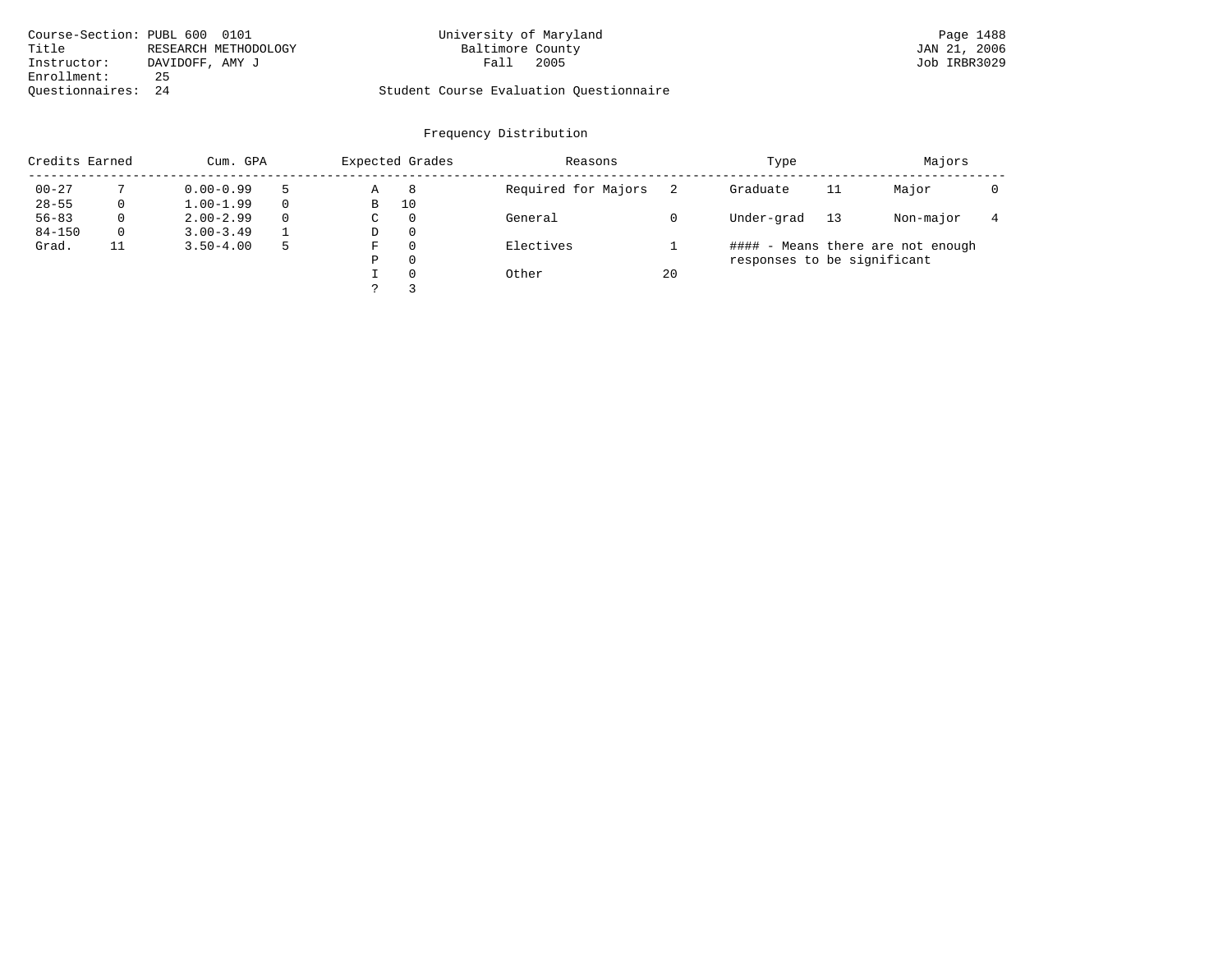| Course-Section: PUBL 600 0101 |                      | University of Maryland                  | Page 1488    |
|-------------------------------|----------------------|-----------------------------------------|--------------|
| Title                         | RESEARCH METHODOLOGY | Baltimore County                        | JAN 21, 2006 |
| Instructor:                   | DAVIDOFF, AMY J      | Fall<br>2005                            | Job IRBR3029 |
| Enrollment:                   | 25                   |                                         |              |
| Ouestionnaires: 24            |                      | Student Course Evaluation Questionnaire |              |

## Frequency Distribution

| Credits Earned |    | Cum. GPA      |   |             | Expected Grades | Reasons             |    | Type                        |    | Majors                            |  |
|----------------|----|---------------|---|-------------|-----------------|---------------------|----|-----------------------------|----|-----------------------------------|--|
| $00 - 27$      |    | $0.00 - 0.99$ |   | Α           | 8               | Required for Majors |    | Graduate                    | 11 | Major                             |  |
| $28 - 55$      | 0  | $1.00 - 1.99$ |   | В           | 10              |                     |    |                             |    |                                   |  |
| $56 - 83$      | 0  | $2.00 - 2.99$ | 0 | $\sim$<br>◡ | 0               | General             |    | Under-grad                  | 13 | Non-major                         |  |
| $84 - 150$     | 0  | $3.00 - 3.49$ |   | D           | 0               |                     |    |                             |    |                                   |  |
| Grad.          | 11 | $3.50 - 4.00$ | 5 | F           |                 | Electives           |    |                             |    | #### - Means there are not enough |  |
|                |    |               |   | Ρ           | 0               |                     |    | responses to be significant |    |                                   |  |
|                |    |               |   |             | $\Omega$        | Other               | 20 |                             |    |                                   |  |
|                |    |               |   | っ           |                 |                     |    |                             |    |                                   |  |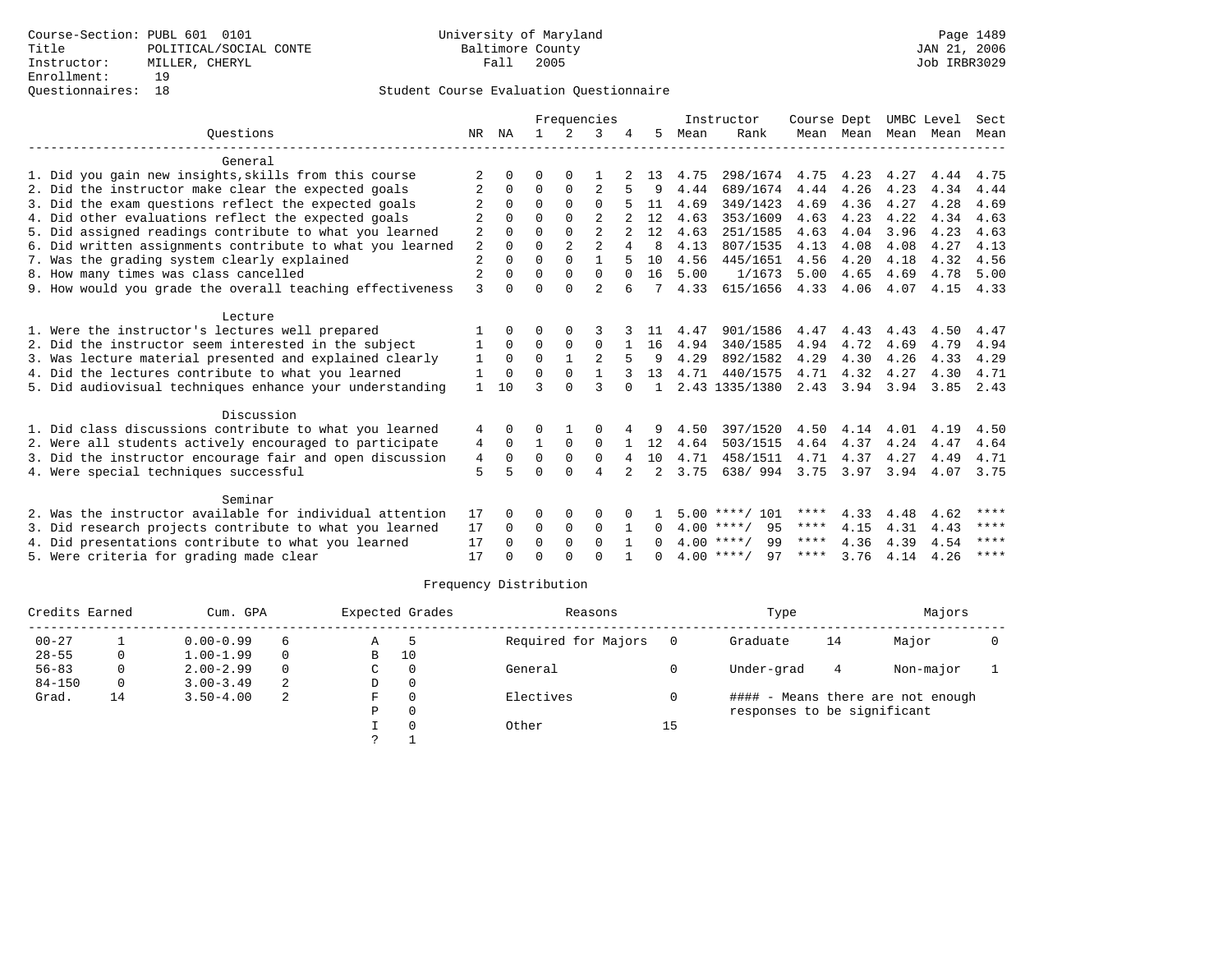|                                                           | Frequencies    |              |              |                |                |          | Instructor   | Course Dept |                    | UMBC Level  |                | Sect |               |      |
|-----------------------------------------------------------|----------------|--------------|--------------|----------------|----------------|----------|--------------|-------------|--------------------|-------------|----------------|------|---------------|------|
| Ouestions                                                 | NR             | ΝA           |              | $\mathcal{L}$  | 3              |          | 5            | Mean        | Rank               |             | Mean Mean      | Mean | Mean          | Mean |
| General                                                   |                |              |              |                |                |          |              |             |                    |             |                |      |               |      |
| 1. Did you gain new insights, skills from this course     |                | <sup>n</sup> | U            | ∩              |                |          | 13           | 4.75        | 298/1674           | 4.75        | 4.23           | 4.27 | 4.44          | 4.75 |
| 2. Did the instructor make clear the expected goals       | 2              | $\Omega$     | $\Omega$     | $\Omega$       | $\overline{2}$ |          | 9            | 4.44        | 689/1674           | 4.44        | 4.26           | 4.23 | 4.34          | 4.44 |
| 3. Did the exam questions reflect the expected goals      |                | $\Omega$     | $\Omega$     | $\Omega$       | $\Omega$       |          | 11           | 4.69        | 349/1423           | 4.69        | 4.36           | 4.27 | 4.28          | 4.69 |
| 4. Did other evaluations reflect the expected goals       |                | $\Omega$     | $\Omega$     | $\Omega$       | $\overline{2}$ |          | 12           | 4.63        | 353/1609           | 4.63        | 4.23           | 4.22 | 4.34          | 4.63 |
| 5. Did assigned readings contribute to what you learned   | 2              | <sup>0</sup> | $\Omega$     |                | $\overline{a}$ |          | 12           | 4.63        | 251/1585           | 4.63        | 4.04           | 3.96 | 4.23          | 4.63 |
| 6. Did written assignments contribute to what you learned | 2              | $\Omega$     | $\Omega$     | $\overline{a}$ | $\overline{a}$ | 4        | 8            | 4.13        | 807/1535           | 4.13        | 4.08           | 4.08 | 4.27          | 4.13 |
| 7. Was the grading system clearly explained               | $\overline{2}$ | $\Omega$     | $\Omega$     | $\Omega$       | $\mathbf{1}$   |          | 10           | 4.56        | 445/1651           | 4.56        | 4.20           | 4.18 | 4.32          | 4.56 |
| 8. How many times was class cancelled                     | $\overline{2}$ |              | $\Omega$     | $\Omega$       | $\Omega$       | $\Omega$ | 16           | 5.00        | 1/1673             | 5.00        | 4.65           | 4.69 | 4.78          | 5.00 |
| 9. How would you grade the overall teaching effectiveness | 3              | <sup>0</sup> | $\Omega$     | $\cap$         | $\overline{2}$ | 6        |              | 4.33        | 615/1656           |             | 4.33 4.06      | 4.07 | 4.15          | 4.33 |
| Lecture                                                   |                |              |              |                |                |          |              |             |                    |             |                |      |               |      |
| 1. Were the instructor's lectures well prepared           |                | $\Omega$     | O            | 0              |                |          | -11          | 4.47        | 901/1586           | 4.47        | 4.43           | 4.43 | 4.50          | 4.47 |
| 2. Did the instructor seem interested in the subject      | 1              | $\Omega$     | $\Omega$     | $\mathbf 0$    | $\Omega$       |          | 16           | 4.94        | 340/1585           | 4.94        | 4.72           | 4.69 | 4.79          | 4.94 |
| 3. Was lecture material presented and explained clearly   | 1              | $\Omega$     | $\Omega$     |                |                |          | 9            | 4.29        | 892/1582           | 4.29        | 4.30           | 4.26 | 4.33          | 4.29 |
| 4. Did the lectures contribute to what you learned        | 1              | $\Omega$     | $\Omega$     | $\Omega$       | $\mathbf{1}$   |          | 13           | 4.71        | 440/1575           | 4.71        | 4.32           | 4.27 | 4.30          | 4.71 |
| 5. Did audiovisual techniques enhance your understanding  | 1              | 10           | ζ            | $\cap$         | 3              | $\cap$   | $\mathbf{1}$ |             | 2.43 1335/1380     |             | 2.43 3.94 3.94 |      | $3.85$ $2.43$ |      |
| Discussion                                                |                |              |              |                |                |          |              |             |                    |             |                |      |               |      |
| 1. Did class discussions contribute to what you learned   | 4              | 0            | 0            |                | $\Omega$       |          | 9            | 4.50        | 397/1520           | 4.50        | 4.14           | 4.01 | 4.19          | 4.50 |
| 2. Were all students actively encouraged to participate   | 4              | $\Omega$     | $\mathbf{1}$ | $\Omega$       | $\Omega$       |          | 12           | 4.64        | 503/1515           | 4.64        | 4.37           | 4.24 | 4.47          | 4.64 |
| 3. Did the instructor encourage fair and open discussion  | $\overline{4}$ | $\Omega$     | $\Omega$     | $\Omega$       | $\Omega$       | 4        | 10           | 4.71        | 458/1511           | 4.71        | 4.37           | 4.27 | 4.49          | 4.71 |
| 4. Were special techniques successful                     | 5              |              | $\Omega$     | $\Omega$       | 4              |          | 2            | 3.75        | 638/994            | 3.75        | 3.97           | 3.94 | 4.07          | 3.75 |
| Seminar                                                   |                |              |              |                |                |          |              |             |                    |             |                |      |               |      |
| 2. Was the instructor available for individual attention  | 17             | 0            | 0            | 0              | 0              |          |              |             | $5.00$ ****/ 101   | ****        | 4.33           | 4.48 | 4.62          | **** |
| 3. Did research projects contribute to what you learned   | 17             | $\Omega$     | 0            | $\mathbf 0$    | $\Omega$       |          | 0            |             | 95<br>$4.00$ ****/ | ****        | 4.15           | 4.31 | 4.43          | **** |
| 4. Did presentations contribute to what you learned       | 17             | <sup>n</sup> | $\Omega$     | $\Omega$       | $\Omega$       |          |              |             | 99<br>$4.00$ ****/ | $***$ * * * | 4.36           | 4.39 | 4.54          | **** |
| 5. Were criteria for grading made clear                   | 17             |              | $\Omega$     | $\cap$         | $\cap$         |          | <sup>n</sup> |             | $4.00$ ****/<br>97 | ****        | 3.76           | 4.14 | 4.26          | **** |
|                                                           |                |              |              |                |                |          |              |             |                    |             |                |      |               |      |

| Credits Earned |          | Cum. GPA      |          |    | Expected Grades | Reasons             |     | Type                        |    | Majors                            |  |
|----------------|----------|---------------|----------|----|-----------------|---------------------|-----|-----------------------------|----|-----------------------------------|--|
| $00 - 27$      |          | $0.00 - 0.99$ | 6        | Α  |                 | Required for Majors | - 0 | Graduate                    | 14 | Major                             |  |
| $28 - 55$      | 0        | $1.00 - 1.99$ | 0        | в  | 10              |                     |     |                             |    |                                   |  |
| $56 - 83$      | 0        | $2.00 - 2.99$ | $\Omega$ | C  | $\Omega$        | General             |     | Under-grad                  | 4  | Non-major                         |  |
| $84 - 150$     | $\Omega$ | $3.00 - 3.49$ | 2        | D  | 0               |                     |     |                             |    |                                   |  |
| Grad.          | 14       | $3.50 - 4.00$ | 2        | F. | $\Omega$        | Electives           |     |                             |    | #### - Means there are not enough |  |
|                |          |               |          | Ρ  | 0               |                     |     | responses to be significant |    |                                   |  |
|                |          |               |          |    |                 | Other               | 15  |                             |    |                                   |  |
|                |          |               |          |    |                 |                     |     |                             |    |                                   |  |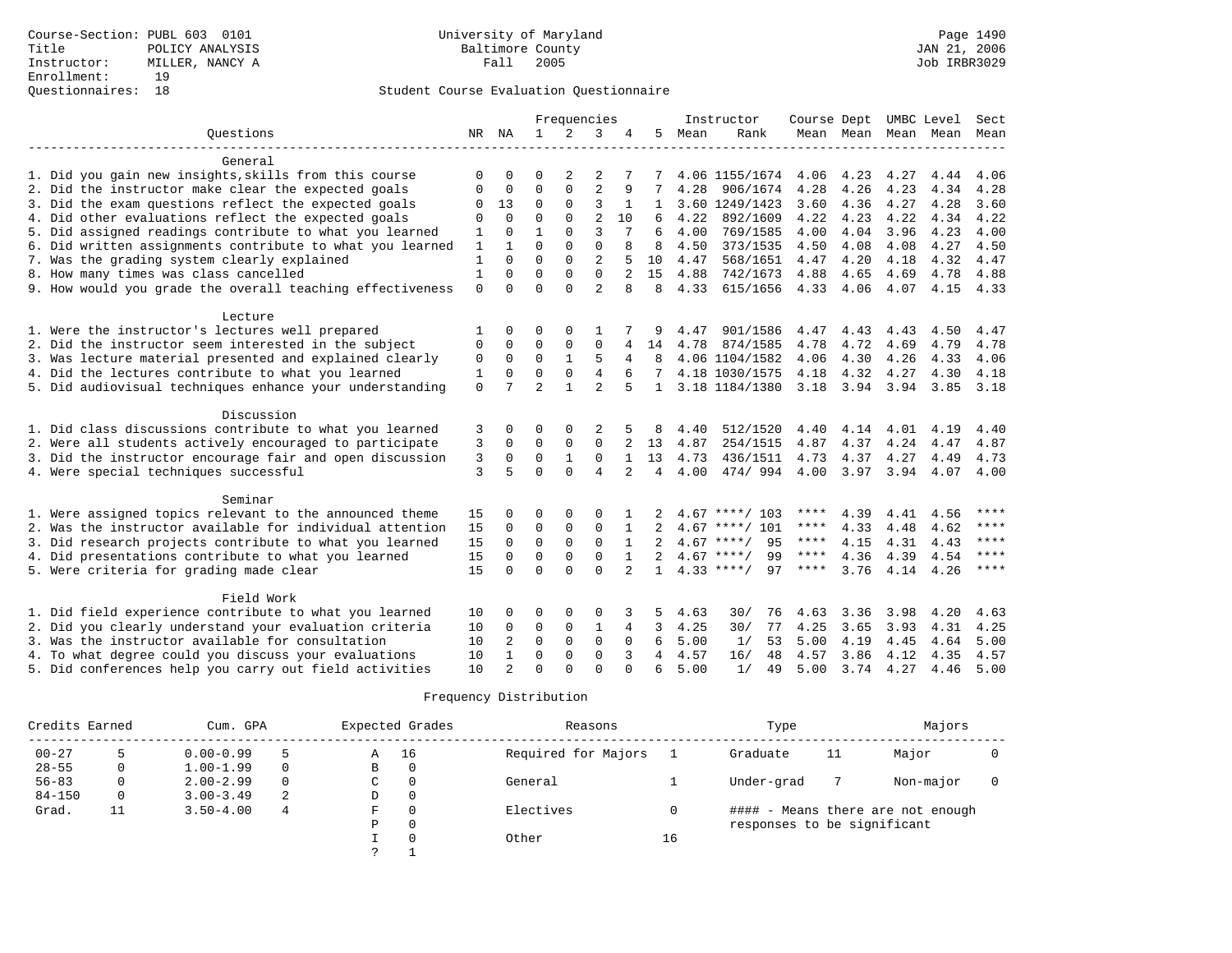|                                                           |              |                |                | Frequencies    |                |                |              |      | Instructor         | Course Dept |           |      | UMBC Level               | Sect        |
|-----------------------------------------------------------|--------------|----------------|----------------|----------------|----------------|----------------|--------------|------|--------------------|-------------|-----------|------|--------------------------|-------------|
| Ouestions                                                 |              | NR NA          | 1              | $\overline{2}$ | 3              | 4              | 5            | Mean | Rank               |             |           |      | Mean Mean Mean Mean Mean |             |
|                                                           |              |                |                |                |                |                |              |      |                    |             |           |      |                          |             |
| General                                                   |              |                |                |                |                |                |              |      |                    |             |           |      |                          |             |
| 1. Did you gain new insights, skills from this course     | U            | U              | ∩              | 2              | 2              |                |              |      | 4.06 1155/1674     | 4.06        | 4.23      | 4.27 | 4.44                     | 4.06        |
| 2. Did the instructor make clear the expected goals       | $\Omega$     | $\Omega$       | $\Omega$       | $\Omega$       | $\overline{2}$ | 9              |              | 4.28 | 906/1674           | 4.28        | 4.26      | 4.23 | 4.34                     | 4.28        |
| 3. Did the exam questions reflect the expected goals      | 0            | 13             | $\mathbf 0$    | $\mathbf{0}$   | 3              |                |              |      | 3.60 1249/1423     | 3.60        | 4.36      | 4.27 | 4.28                     | 3.60        |
| 4. Did other evaluations reflect the expected goals       | 0            | $\Omega$       | $\mathbf 0$    | $\mathbf 0$    | $\overline{2}$ | 10             |              | 4.22 | 892/1609           | 4.22        | 4.23      | 4.22 | 4.34                     | 4.22        |
| 5. Did assigned readings contribute to what you learned   | $\mathbf 1$  | $\Omega$       | $\mathbf{1}$   | $\Omega$       | 3              |                | 6            | 4.00 | 769/1585           | 4.00        | 4.04      | 3.96 | 4.23                     | 4.00        |
| 6. Did written assignments contribute to what you learned | $\mathbf{1}$ | $\mathbf{1}$   | $\Omega$       | $\Omega$       | $\Omega$       | 8              | 8            | 4.50 | 373/1535           | 4.50        | 4.08      | 4.08 | 4.27                     | 4.50        |
| 7. Was the grading system clearly explained               | 1            | $\Omega$       | $\Omega$       | $\Omega$       | $\overline{2}$ |                | 10           | 4.47 | 568/1651           | 4.47        | 4.20      | 4.18 | 4.32                     | 4.47        |
| 8. How many times was class cancelled                     | $\mathbf{1}$ | $\Omega$       | $\Omega$       | $\Omega$       | $\Omega$       |                | 15           | 4.88 | 742/1673           | 4.88        | 4.65      | 4.69 | 4.78                     | 4.88        |
| 9. How would you grade the overall teaching effectiveness | $\Omega$     | $\Omega$       | $\Omega$       | $\Omega$       | $\mathfrak{D}$ | 8              | 8            | 4.33 | 615/1656           | 4.33        | 4.06      | 4.07 | 4.15                     | 4.33        |
| Lecture                                                   |              |                |                |                |                |                |              |      |                    |             |           |      |                          |             |
| 1. Were the instructor's lectures well prepared           |              | O              | $\Omega$       | 0              |                |                |              | 4.47 | 901/1586           | 4.47        | 4.43      | 4.43 | 4.50                     | 4.47        |
| 2. Did the instructor seem interested in the subject      | $\mathbf 0$  | $\Omega$       | $\Omega$       | $\Omega$       | $\Omega$       | 4              | 14           | 4.78 | 874/1585           | 4.78        | 4.72      | 4.69 | 4.79                     | 4.78        |
| 3. Was lecture material presented and explained clearly   | $\mathbf 0$  | $\mathbf 0$    | 0              | 1              | 5              | 4              | 8            |      | 4.06 1104/1582     | 4.06        | 4.30      | 4.26 | 4.33                     | 4.06        |
| 4. Did the lectures contribute to what you learned        | 1            | $\mathbf{0}$   | $\mathbf 0$    | $\mathbf 0$    | $\overline{4}$ |                |              |      | 4.18 1030/1575     | 4.18        | 4.32      | 4.27 | 4.30                     | 4.18        |
| 5. Did audiovisual techniques enhance your understanding  | $\mathbf 0$  | 7              | $\overline{2}$ | $\mathbf{1}$   | $\mathfrak{D}$ | 5              | $\mathbf{1}$ |      | 3.18 1184/1380     | 3.18        | 3.94 3.94 |      | 3.85                     | 3.18        |
|                                                           |              |                |                |                |                |                |              |      |                    |             |           |      |                          |             |
| Discussion                                                |              |                |                |                |                |                |              |      |                    |             |           |      |                          |             |
| 1. Did class discussions contribute to what you learned   | 3            | 0              | 0              | 0              |                |                |              | 4.40 | 512/1520           | 4.40        | 4.14      | 4.01 | 4.19                     | 4.40        |
| 2. Were all students actively encouraged to participate   | 3            | $\Omega$       | $\Omega$       | $\Omega$       | $\Omega$       |                | 13           | 4.87 | 254/1515           | 4.87        | 4.37      | 4.24 | 4.47                     | 4.87        |
| 3. Did the instructor encourage fair and open discussion  | 3            | $\Omega$       | $\Omega$       | $\mathbf{1}$   | $\Omega$       | $\mathbf{1}$   | 13           | 4.73 | 436/1511           | 4.73        | 4.37      | 4.27 | 4.49                     | 4.73        |
| 4. Were special techniques successful                     | 3            | 5              | $\Omega$       | $\Omega$       | $\overline{4}$ | $\overline{a}$ | 4            | 4.00 | 474/994            | 4.00        | 3.97      | 3.94 | 4.07                     | 4.00        |
| Seminar                                                   |              |                |                |                |                |                |              |      |                    |             |           |      |                          |             |
| 1. Were assigned topics relevant to the announced theme   | 15           | O              | $\Omega$       | $\Omega$       | $\Omega$       |                |              | 4.67 | ****/ 103          | ****        | 4.39      | 4.41 | 4.56                     | ****        |
| 2. Was the instructor available for individual attention  | 15           | $\Omega$       | $\mathbf 0$    | $\mathsf 0$    | 0              |                |              | 4.67 | $***/101$          | $***$ * *   | 4.33      | 4.48 | 4.62                     | $***$ * * * |
| 3. Did research projects contribute to what you learned   | 15           | $\Omega$       | $\Omega$       | $\mathbf 0$    | $\mathbf 0$    | $\mathbf{1}$   |              | 4.67 | 95<br>****/        | $***$ * * * | 4.15      | 4.31 | 4.43                     | $***$ *     |
| 4. Did presentations contribute to what you learned       | 15           | $\Omega$       | $\Omega$       | $\Omega$       | $\Omega$       | $\mathbf{1}$   |              |      | $4.67$ ****/<br>99 | $***$ * * * | 4.36      | 4.39 | 4.54                     | $***$ * * * |
| 5. Were criteria for grading made clear                   | 15           | $\Omega$       | $\Omega$       | $\cap$         | $\Omega$       | $\overline{2}$ | $\mathbf{1}$ |      | $4.33$ ****/<br>97 | ****        | 3.76      | 4.14 | 4.26                     | $***$       |
|                                                           |              |                |                |                |                |                |              |      |                    |             |           |      |                          |             |
| Field Work                                                |              |                |                |                |                |                |              |      |                    |             |           |      |                          |             |
| 1. Did field experience contribute to what you learned    | 10           | O              | $\Omega$       | $\Omega$       | $\Omega$       | 3              | 5            | 4.63 | 30/<br>76          | 4.63        | 3.36      | 3.98 | 4.20                     | 4.63        |
| 2. Did you clearly understand your evaluation criteria    | 10           | $\Omega$       | 0              | 0              | 1              | 4              | 3            | 4.25 | 30/<br>77          | 4.25        | 3.65      | 3.93 | 4.31                     | 4.25        |
| 3. Was the instructor available for consultation          | 10           | 2              | $\mathbf 0$    | $\mathbf{0}$   | $\mathbf 0$    | 0              | 6            | 5.00 | 1/<br>53           | 5.00        | 4.19      | 4.45 | 4.64                     | 5.00        |
| 4. To what degree could you discuss your evaluations      | 10           | $\mathbf{1}$   | $\Omega$       | $\Omega$       | $\Omega$       | 3              | 4            | 4.57 | 48<br>16/          | 4.57        | 3.86      | 4.12 | 4.35                     | 4.57        |
| 5. Did conferences help you carry out field activities    | 10           | $\overline{a}$ | $\Omega$       | $\cap$         | $\cap$         |                | 6            | 5.00 | 1/<br>49           | 5.00        | 3.74      | 4.27 | 4.46                     | 5.00        |

| Credits Earned |    | Cum. GPA      |          | Expected Grades | Reasons             |    | Type                        |    | Majors                            |  |
|----------------|----|---------------|----------|-----------------|---------------------|----|-----------------------------|----|-----------------------------------|--|
| $00 - 27$      |    | $0.00 - 0.99$ |          | 16<br>Α         | Required for Majors |    | Graduate                    | 11 | Major                             |  |
| $28 - 55$      |    | $1.00 - 1.99$ | $\Omega$ | 0<br>В          |                     |    |                             |    |                                   |  |
| $56 - 83$      |    | $2.00 - 2.99$ | $\Omega$ | $\Omega$<br>C   | General             |    | Under-grad                  |    | Non-major                         |  |
| $84 - 150$     |    | $3.00 - 3.49$ | 2        | 0<br>D          |                     |    |                             |    |                                   |  |
| Grad.          | ᆂᆂ | $3.50 - 4.00$ | 4        | F<br>0          | Electives           |    |                             |    | #### - Means there are not enough |  |
|                |    |               |          | P<br>0          |                     |    | responses to be significant |    |                                   |  |
|                |    |               |          | $\Omega$        | Other               | 16 |                             |    |                                   |  |
|                |    |               |          |                 |                     |    |                             |    |                                   |  |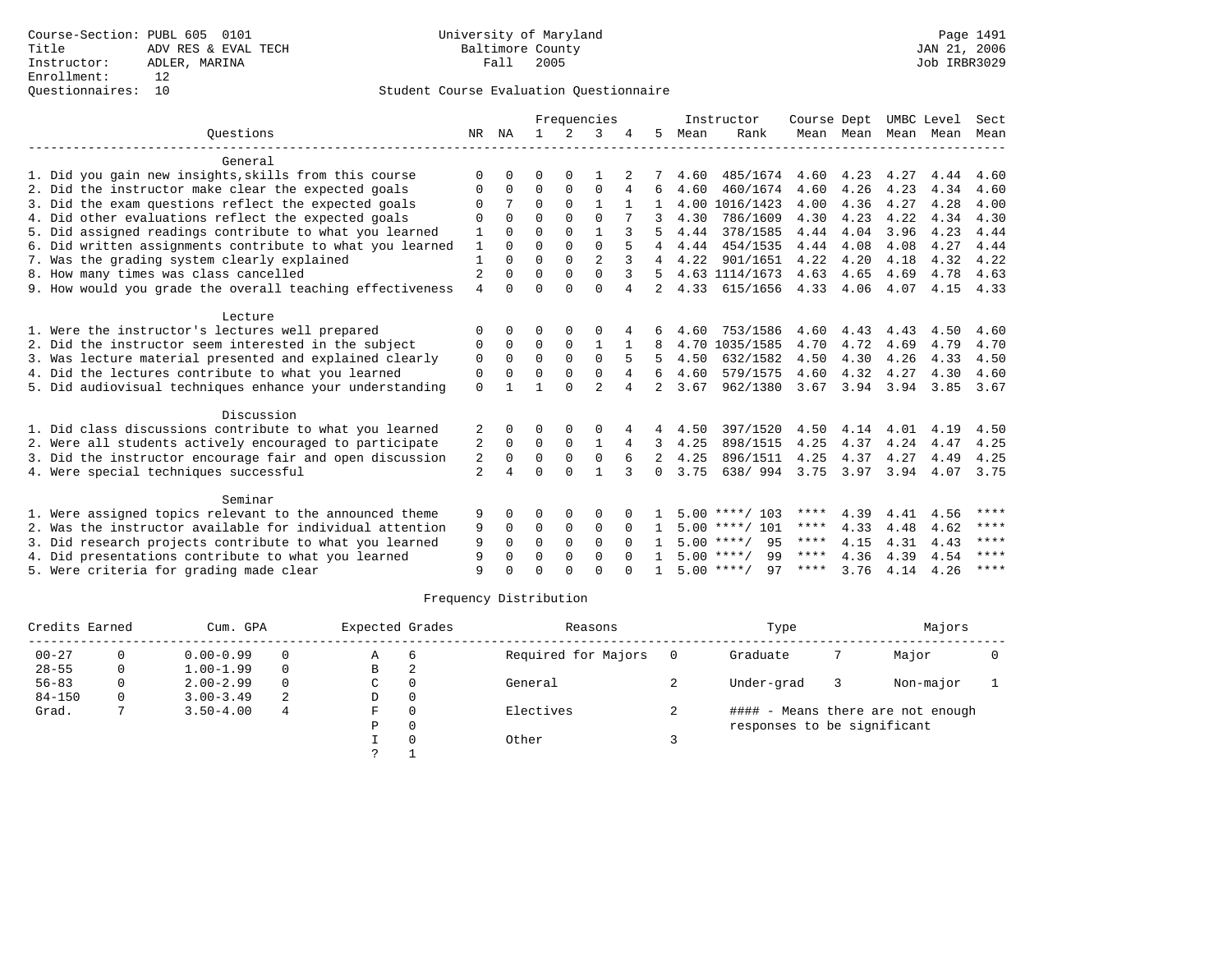### Questionnaires: 10 Student Course Evaluation Questionnaire

|                |                                            | Frequencies  |                      |                      |                                        |                |                |          |                                                                                                                                                          |                                      | Sect                                                     |                                   |                                            |
|----------------|--------------------------------------------|--------------|----------------------|----------------------|----------------------------------------|----------------|----------------|----------|----------------------------------------------------------------------------------------------------------------------------------------------------------|--------------------------------------|----------------------------------------------------------|-----------------------------------|--------------------------------------------|
| NR.            | ΝA                                         | $\mathbf{1}$ | $\mathcal{L}$        | 3                    |                                        | 5.             | Mean           | Rank     |                                                                                                                                                          |                                      |                                                          | Mean                              | Mean                                       |
|                |                                            |              |                      |                      |                                        |                |                |          |                                                                                                                                                          |                                      |                                                          |                                   |                                            |
| $\Omega$       | $\Omega$                                   | O            | $\Omega$             |                      |                                        |                | 4.60           |          | 4.60                                                                                                                                                     | 4.23                                 | 4.27                                                     | 4.44                              | 4.60                                       |
| $\Omega$       | $\Omega$                                   | $\Omega$     | $\Omega$             | $\Omega$             | 4                                      | 6              | 4.60           | 460/1674 | 4.60                                                                                                                                                     | 4.26                                 | 4.23                                                     | 4.34                              | 4.60                                       |
| $\Omega$       |                                            | $\Omega$     | $\Omega$             | $\mathbf{1}$         |                                        |                |                |          | 4.00                                                                                                                                                     | 4.36                                 | 4.27                                                     | 4.28                              | 4.00                                       |
| $\mathbf 0$    | $\Omega$                                   | $\Omega$     | $\Omega$             | $\Omega$             |                                        |                | 4.30           | 786/1609 | 4.30                                                                                                                                                     | 4.23                                 | 4.22                                                     | 4.34                              | 4.30                                       |
| 1              | $\Omega$                                   | $\Omega$     | $\Omega$             | $\mathbf{1}$         |                                        |                | 4.44           | 378/1585 | 4.44                                                                                                                                                     | 4.04                                 | 3.96                                                     | 4.23                              | 4.44                                       |
| 1              | $\cap$                                     | $\Omega$     | $\Omega$             | $\Omega$             |                                        | 4              | 4.44           | 454/1535 | 4.44                                                                                                                                                     | 4.08                                 | 4.08                                                     | 4.27                              | 4.44                                       |
| $\mathbf{1}$   | $\Omega$                                   | $\Omega$     | $\Omega$             |                      |                                        | 4              | 4.22           | 901/1651 |                                                                                                                                                          | 4.20                                 | 4.18                                                     | 4.32                              | 4.22                                       |
|                | $\Omega$                                   |              |                      |                      |                                        | 5              |                |          |                                                                                                                                                          |                                      |                                                          |                                   | 4.63                                       |
|                | $\Omega$                                   |              |                      |                      | 4                                      |                |                |          |                                                                                                                                                          |                                      |                                                          |                                   | 4.33                                       |
|                |                                            |              |                      |                      |                                        |                |                |          |                                                                                                                                                          |                                      |                                                          |                                   |                                            |
| O              | $\Omega$                                   | O            | $\Omega$             | O                    |                                        | 6              | 4.60           | 753/1586 | 4.60                                                                                                                                                     | 4.43                                 | 4.43                                                     | 4.50                              | 4.60                                       |
| 0              | $\mathbf 0$                                | 0            | $\mathbf 0$          | $\mathbf{1}$         |                                        | 8              |                |          | 4.70                                                                                                                                                     | 4.72                                 | 4.69                                                     | 4.79                              | 4.70                                       |
| $\mathbf 0$    | $\Omega$                                   | $\Omega$     | $\Omega$             | $\Omega$             |                                        | 5              | 4.50           | 632/1582 | 4.50                                                                                                                                                     | 4.30                                 | 4.26                                                     | 4.33                              | 4.50                                       |
| 0              | $\Omega$                                   | $\Omega$     | $\Omega$             | $\Omega$             | $\overline{4}$                         | 6              | 4.60           | 579/1575 | 4.60                                                                                                                                                     | 4.32                                 | 4.27                                                     | 4.30                              | 4.60                                       |
| $\Omega$       |                                            |              | $\cap$               | $\mathfrak{D}$       |                                        | $\overline{2}$ | 3.67           | 962/1380 | 3.67                                                                                                                                                     |                                      | 3.94                                                     | 3.85                              | 3.67                                       |
|                |                                            |              |                      |                      |                                        |                |                |          |                                                                                                                                                          |                                      |                                                          |                                   |                                            |
| 2              | 0                                          | O            | $\Omega$             | O                    | 4                                      | 4              | 4.50           | 397/1520 | 4.50                                                                                                                                                     | 4.14                                 | 4.01                                                     | 4.19                              | 4.50                                       |
| 2              | $\Omega$                                   | $\Omega$     | $\Omega$             | 1                    | 4                                      | 3              | 4.25           | 898/1515 | 4.25                                                                                                                                                     | 4.37                                 | 4.24                                                     | 4.47                              | 4.25                                       |
| $\sqrt{2}$     | $\Omega$                                   | $\Omega$     | $\Omega$             | $\Omega$             | 6                                      | 2              | 4.25           | 896/1511 | 4.25                                                                                                                                                     |                                      | 4.27                                                     | 4.49                              | 4.25                                       |
| $\overline{2}$ | 4                                          | $\Omega$     | $\Omega$             | $\mathbf{1}$         | 3                                      | $\Omega$       | 3.75           | 638/994  | 3.75                                                                                                                                                     |                                      | 3.94                                                     | 4.07                              | 3.75                                       |
|                |                                            |              |                      |                      |                                        |                |                |          |                                                                                                                                                          |                                      |                                                          |                                   |                                            |
|                | $\Omega$                                   | O            | $\Omega$             | O                    |                                        |                |                |          | ****                                                                                                                                                     | 4.39                                 |                                                          |                                   | ****                                       |
| 9              | 0                                          | 0            | $\mathbf 0$          | $\mathbf 0$          | $\Omega$                               |                |                |          | ****                                                                                                                                                     | 4.33                                 | 4.48                                                     | 4.62                              | $***$ * * *                                |
| 9              | $\Omega$                                   | $\Omega$     | $\Omega$             | $\Omega$             | $\Omega$                               |                |                | 95       | ****                                                                                                                                                     | 4.15                                 | 4.31                                                     | 4.43                              | ****                                       |
|                | 0                                          | 0            | $\Omega$             | $\Omega$             | $\Omega$                               |                |                | 99       | $***$ * * *                                                                                                                                              | 4.36                                 | 4.39                                                     | 4.54                              | ****                                       |
| 9              | $\Omega$                                   | $\Omega$     | $\cap$               | $\cap$               |                                        |                |                | 97       | ****                                                                                                                                                     | 3.76                                 | 4.14                                                     | 4.26                              | $***$ * * *                                |
|                | $\overline{2}$<br>$\overline{4}$<br>9<br>9 |              | $\Omega$<br>$\Omega$ | $\Omega$<br>$\Omega$ | $\overline{a}$<br>$\Omega$<br>$\Omega$ |                | $\overline{2}$ | 4.33     | Instructor<br>4.00 1016/1423<br>4.63 1114/1673<br>4.70 1035/1585<br>$5.00$ ****/ 103<br>$5.00$ ****/ 101<br>$5.00$ ****/<br>$5.00$ ****/<br>$5.00$ ****/ | 485/1674<br>4.22<br>4.63<br>615/1656 | Course Dept<br>4.65<br>4.33 4.06<br>3.94<br>4.37<br>3.97 | Mean Mean<br>4.69<br>4.07<br>4.41 | UMBC Level<br>Mean<br>4.78<br>4.15<br>4.56 |

|            | Credits Earned |               | Cum. GPA | Expected Grades |          | Reasons             |   | Type                        | Majors                            |  |
|------------|----------------|---------------|----------|-----------------|----------|---------------------|---|-----------------------------|-----------------------------------|--|
| $00 - 27$  |                | $0.00 - 0.99$ |          | Α               | -6       | Required for Majors |   | Graduate                    | Major                             |  |
| $28 - 55$  | 0              | $1.00 - 1.99$ |          | B               | 2        |                     |   |                             |                                   |  |
| $56 - 83$  |                | $2.00 - 2.99$ |          | C               | 0        | General             |   | Under-grad                  | Non-major                         |  |
| $84 - 150$ |                | $3.00 - 3.49$ | 2        | D               | 0        |                     |   |                             |                                   |  |
| Grad.      |                | $3.50 - 4.00$ | 4        | F               | 0        | Electives           | ∠ |                             | #### - Means there are not enough |  |
|            |                |               |          | Ρ               | 0        |                     |   | responses to be significant |                                   |  |
|            |                |               |          |                 | $\Omega$ | Other               |   |                             |                                   |  |
|            |                |               |          |                 |          |                     |   |                             |                                   |  |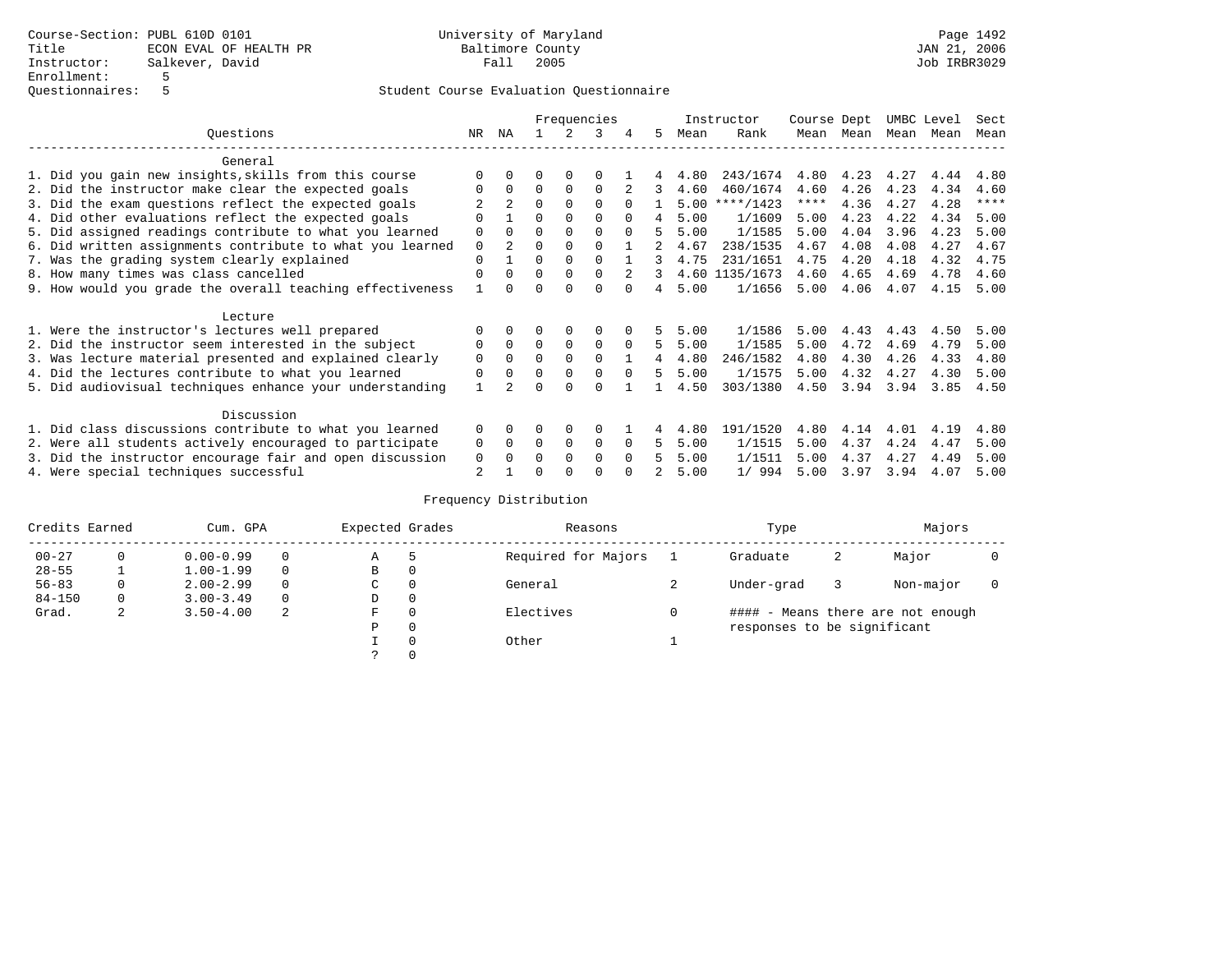|                                                           | Frequencies  |                      |          |             |             |          | Instructor  | Course Dept |                | UMBC Level |      | Sect |      |      |
|-----------------------------------------------------------|--------------|----------------------|----------|-------------|-------------|----------|-------------|-------------|----------------|------------|------|------|------|------|
| Ouestions                                                 | NR.          | ΝA                   |          |             | 3           |          | 5.          | Mean        | Rank           | Mean       | Mean | Mean | Mean | Mean |
| General                                                   |              |                      |          |             |             |          |             |             |                |            |      |      |      |      |
| 1. Did you gain new insights, skills from this course     |              | $\Omega$             | O        | $\Omega$    | O           |          |             | 4.80        | 243/1674       | 4.80       | 4.23 | 4.27 | 4.44 | 4.80 |
| 2. Did the instructor make clear the expected goals       |              | $\Omega$             | $\Omega$ | $\Omega$    | $\Omega$    |          | 3           | 4.60        | 460/1674       | 4.60       | 4.26 | 4.23 | 4.34 | 4.60 |
| 3. Did the exam questions reflect the expected goals      |              | $\mathfrak{D}$       | $\Omega$ | $\Omega$    | $\Omega$    | $\Omega$ |             | 5.00        | ****/1423      | ****       | 4.36 | 4.27 | 4.28 | **** |
| 4. Did other evaluations reflect the expected goals       | O            |                      | $\Omega$ | $\Omega$    | $\Omega$    | $\Omega$ | 4           | 5.00        | 1/1609         | 5.00       | 4.23 | 4.22 | 4.34 | 5.00 |
| 5. Did assigned readings contribute to what you learned   | $\mathbf 0$  | $\Omega$             | $\Omega$ |             | $\Omega$    | $\Omega$ |             | 5.00        | 1/1585         | 5.00       | 4.04 | 3.96 | 4.23 | 5.00 |
| 6. Did written assignments contribute to what you learned | $\mathbf 0$  | $\mathfrak{D}$       | $\Omega$ |             | $\Omega$    |          | $2^{\circ}$ | 4.67        | 238/1535       | 4.67       | 4.08 | 4.08 | 4.27 | 4.67 |
| 7. Was the grading system clearly explained               | $\Omega$     |                      | $\Omega$ | $\Omega$    | $\Omega$    |          |             | 4.75        | 231/1651       | 4.75       | 4.20 | 4.18 | 4.32 | 4.75 |
| 8. How many times was class cancelled                     | $\Omega$     | $\Omega$             | $\Omega$ | $\Omega$    | $\Omega$    | 2        | 3           |             | 4.60 1135/1673 | 4.60       | 4.65 | 4.69 | 4.78 | 4.60 |
| 9. How would you grade the overall teaching effectiveness |              | <sup>n</sup>         | U        | ∩           | U           | $\cap$   | 4           | 5.00        | 1/1656         | 5.00       | 4.06 | 4.07 | 4.15 | 5.00 |
| Lecture                                                   |              |                      |          |             |             |          |             |             |                |            |      |      |      |      |
| 1. Were the instructor's lectures well prepared           |              |                      |          |             | $\Omega$    |          |             | 5.00        | 1/1586         | 5.00       | 4.43 | 4.43 | 4.50 | 5.00 |
| 2. Did the instructor seem interested in the subject      | 0            | $\Omega$             | $\Omega$ | $\mathbf 0$ | $\mathbf 0$ | $\Omega$ | 5           | 5.00        | 1/1585         | 5.00       | 4.72 | 4.69 | 4.79 | 5.00 |
| 3. Was lecture material presented and explained clearly   | $\mathbf 0$  | $\Omega$             | $\Omega$ | $\Omega$    | $\Omega$    |          |             | 4.80        | 246/1582       | 4.80       | 4.30 | 4.26 | 4.33 | 4.80 |
| 4. Did the lectures contribute to what you learned        | 0            | $\Omega$             | $\Omega$ | $\Omega$    | $\Omega$    | $\Omega$ | 5           | 5.00        | 1/1575         | 5.00       | 4.32 | 4.27 | 4.30 | 5.00 |
| 5. Did audiovisual techniques enhance your understanding  | $\mathbf{1}$ |                      | ∩        |             | U           |          |             | 4.50        | 303/1380       | 4.50       | 3.94 | 3.94 | 3.85 | 4.50 |
| Discussion                                                |              |                      |          |             |             |          |             |             |                |            |      |      |      |      |
| 1. Did class discussions contribute to what you learned   | $\Omega$     | $\Omega$             | O        | $\Omega$    | $\Omega$    |          |             | 4.80        | 191/1520       | 4.80       | 4.14 | 4.01 | 4.19 | 4.80 |
| 2. Were all students actively encouraged to participate   |              |                      | $\Omega$ | $\mathbf 0$ | 0           | $\Omega$ | 5.          | 5.00        | 1/1515         | 5.00       | 4.37 | 4.24 | 4.47 | 5.00 |
| 3. Did the instructor encourage fair and open discussion  | 0<br>0       | $\Omega$<br>$\Omega$ | 0        | $\Omega$    | $\Omega$    | $\Omega$ |             | 5.00        | 1/1511         | 5.00       | 4.37 | 4.27 | 4.49 | 5.00 |
| 4. Were special techniques successful                     | 2            |                      |          |             |             |          |             | 5.00        | 1/994          | 5.00       | 3.97 | 3.94 | 4.07 | 5.00 |

| Credits Earned |          | Cum. GPA      |          | Expected Grades |         | Reasons             | Type                        |   | Majors                            |  |
|----------------|----------|---------------|----------|-----------------|---------|---------------------|-----------------------------|---|-----------------------------------|--|
| $00 - 27$      | 0        | $0.00 - 0.99$ | $\Omega$ | Α               | 5       | Required for Majors | Graduate                    | 2 | Major                             |  |
| $28 - 55$      |          | $1.00 - 1.99$ | $\Omega$ | В               | 0       |                     |                             |   |                                   |  |
| $56 - 83$      |          | $2.00 - 2.99$ | $\Omega$ | С               | 0       | General             | Under-grad                  |   | Non-major                         |  |
| $84 - 150$     | $\Omega$ | $3.00 - 3.49$ | $\Omega$ | D               | 0       |                     |                             |   |                                   |  |
| Grad.          | 2        | $3.50 - 4.00$ | 2        | F               | 0       | Electives           |                             |   | #### - Means there are not enough |  |
|                |          |               |          | Ρ               | $\circ$ |                     | responses to be significant |   |                                   |  |
|                |          |               |          |                 | 0       | Other               |                             |   |                                   |  |
|                |          |               |          |                 | 0       |                     |                             |   |                                   |  |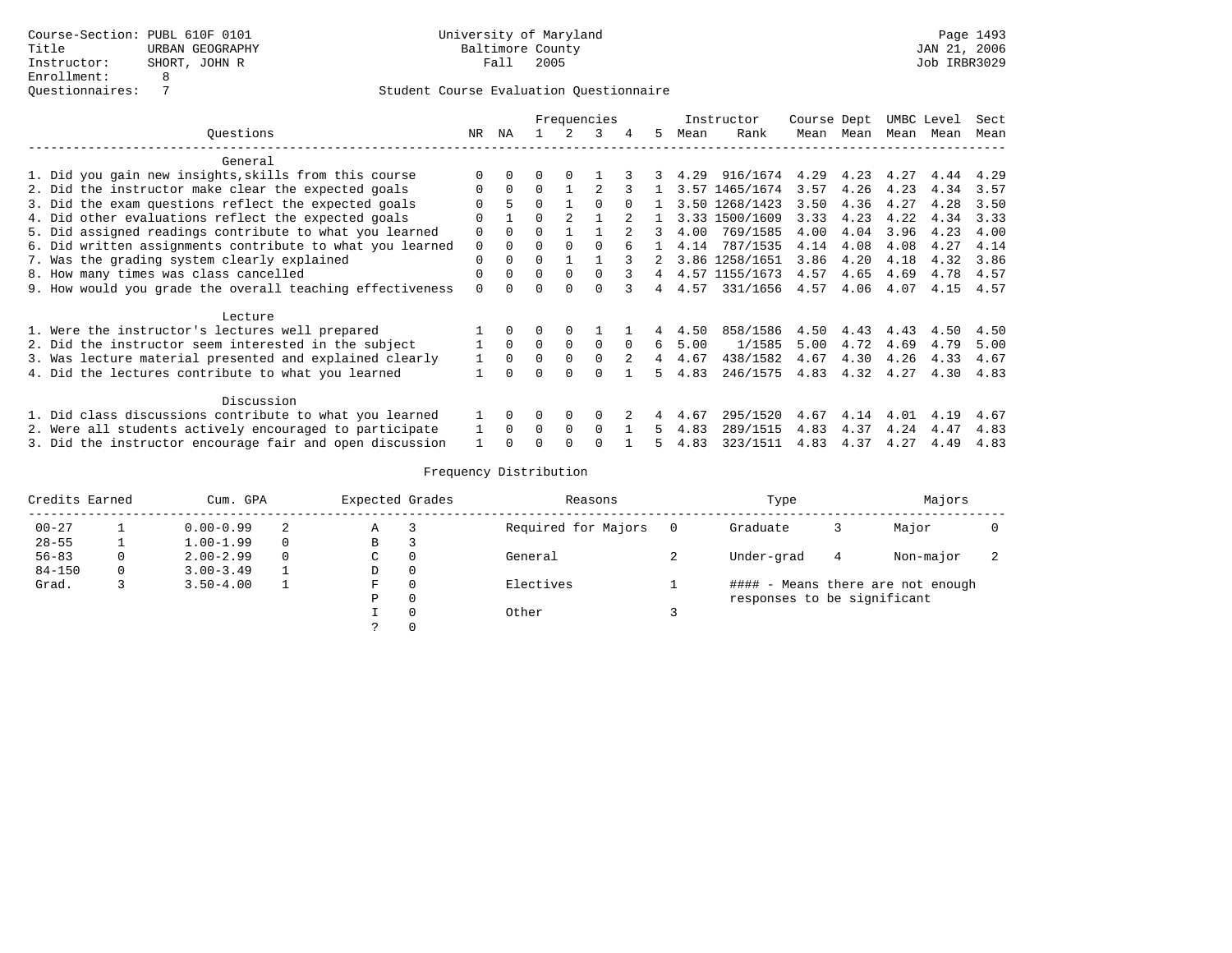|                                                           | Frequencies |              |          |          |          |          |     |      | Instructor     | Course Dept |           |      | UMBC Level | Sect |
|-----------------------------------------------------------|-------------|--------------|----------|----------|----------|----------|-----|------|----------------|-------------|-----------|------|------------|------|
| Ouestions                                                 | NR          | ΝA           |          |          | 3        |          | .5. | Mean | Rank           |             | Mean Mean | Mean | Mean       | Mean |
| General                                                   |             |              |          |          |          |          |     |      |                |             |           |      |            |      |
| 1. Did you gain new insights, skills from this course     |             |              | 0        |          |          |          |     | 4.29 | 916/1674       | 4.29        | 4.23      | 4.27 | 4.44       | 4.29 |
| 2. Did the instructor make clear the expected goals       | $\Omega$    | $\Omega$     | $\Omega$ |          |          |          |     |      | 3.57 1465/1674 | 3.57        | 4.26      | 4.23 | 4.34       | 3.57 |
| 3. Did the exam questions reflect the expected goals      |             |              | $\Omega$ |          | ∩        |          |     |      | 3.50 1268/1423 | 3.50        | 4.36      | 4.27 | 4.28       | 3.50 |
| 4. Did other evaluations reflect the expected goals       | ∩           |              | $\Omega$ |          |          |          |     |      | 3.33 1500/1609 | 3.33        | 4.23      | 4.22 | 4.34       | 3.33 |
| 5. Did assigned readings contribute to what you learned   | $\Omega$    |              |          |          |          |          |     | 4.00 | 769/1585       | 4.00        | 4.04      | 3.96 | 4.23       | 4.00 |
| 6. Did written assignments contribute to what you learned | 0           | <sup>0</sup> | $\Omega$ |          |          |          |     | 4.14 | 787/1535       | 4.14        | 4.08      | 4.08 | 4.27       | 4.14 |
| 7. Was the grading system clearly explained               | 0           |              | O        |          |          |          |     | 3.86 | 1258/1651      | 3.86        | 4.20      | 4.18 | 4.32       | 3.86 |
| 8. How many times was class cancelled                     | $\Omega$    |              | $\Omega$ |          | $\Omega$ | 3        |     |      | 4.57 1155/1673 | 4.57        | 4.65      | 4.69 | 4.78       | 4.57 |
| 9. How would you grade the overall teaching effectiveness | $\Omega$    |              | O        |          |          |          |     | 4.57 | 331/1656       | 4.57        | 4.06      | 4.07 | 4.15       | 4.57 |
| Lecture                                                   |             |              |          |          |          |          |     |      |                |             |           |      |            |      |
| 1. Were the instructor's lectures well prepared           |             | $\Omega$     | 0        | 0        |          |          |     | 4.50 | 858/1586       | 4.50        | 4.43      | 4.43 | 4.50       | 4.50 |
| 2. Did the instructor seem interested in the subject      |             | $\Omega$     | $\Omega$ | $\Omega$ | $\Omega$ | $\Omega$ | б.  | 5.00 | 1/1585         | 5.00        | 4.72      | 4.69 | 4.79       | 5.00 |
| 3. Was lecture material presented and explained clearly   |             | 0            | 0        |          | $\Omega$ |          |     | 4.67 | 438/1582       | 4.67        | 4.30      | 4.26 | 4.33       | 4.67 |
| 4. Did the lectures contribute to what you learned        |             |              |          |          |          |          | 5.  | 4.83 | 246/1575       | 4.83        | 4.32      | 4.27 | 4.30       | 4.83 |
| Discussion                                                |             |              |          |          |          |          |     |      |                |             |           |      |            |      |
| 1. Did class discussions contribute to what you learned   |             |              | O        | 0        | $\Omega$ |          |     | 4.67 | 295/1520       | 4.67        | 4.14      | 4.01 | 4.19       | 4.67 |
| 2. Were all students actively encouraged to participate   |             | $\Omega$     | $\Omega$ | $\Omega$ | $\Omega$ |          |     | 4.83 | 289/1515       | 4.83        | 4.37      | 4.24 | 4.47       | 4.83 |
| 3. Did the instructor encourage fair and open discussion  |             |              | U        |          |          |          |     | 4.83 | 323/1511       | 4.83        | 4.37      | 4.27 | 4.49       | 4.83 |

| Credits Earned | Cum. GPA      | Expected Grades |   | Reasons  | Type                | Majors                      |   |                                   |  |
|----------------|---------------|-----------------|---|----------|---------------------|-----------------------------|---|-----------------------------------|--|
| $00 - 27$      | $0.00 - 0.99$ |                 | Α | -3       | Required for Majors | Graduate                    |   | Major                             |  |
| $28 - 55$      | $1.00 - 1.99$ | $\Omega$        | В | 3        |                     |                             |   |                                   |  |
| $56 - 83$      | $2.00 - 2.99$ | $\Omega$        | C | 0        | General             | Under-grad                  | 4 | Non-major                         |  |
| $84 - 150$     | $3.00 - 3.49$ |                 | D | 0        |                     |                             |   |                                   |  |
| Grad.          | $3.50 - 4.00$ |                 | F | 0        | Electives           |                             |   | #### - Means there are not enough |  |
|                |               |                 | Ρ | 0        |                     | responses to be significant |   |                                   |  |
|                |               |                 |   | $\Omega$ | Other               |                             |   |                                   |  |
|                |               |                 |   |          |                     |                             |   |                                   |  |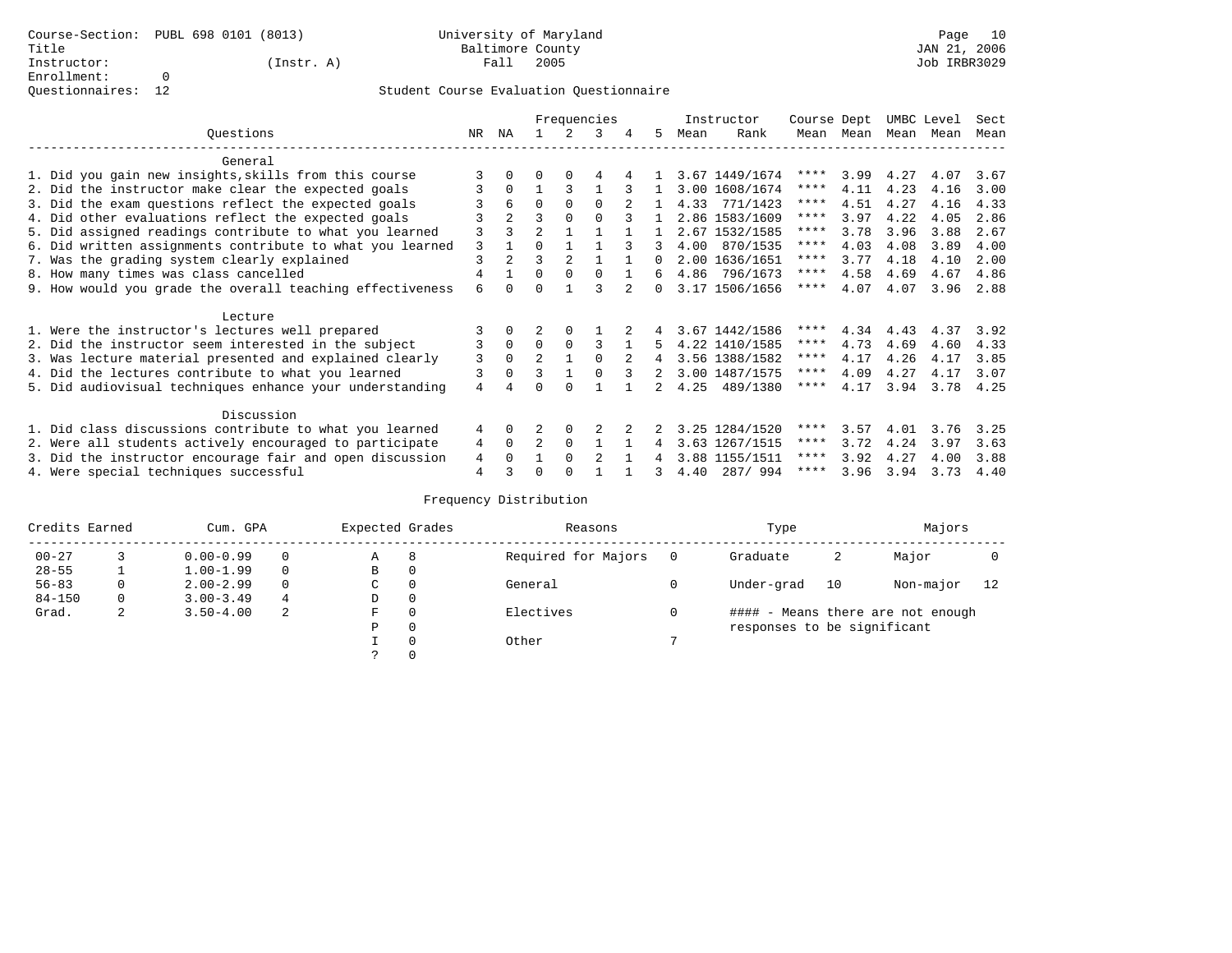Questionnaires: 12

### Student Course Evaluation Questionnaire

|                 |                                                           |   |                |                |          | Frequencies |   |    |      | Instructor     | Course Dept |      | UMBC Level |           | Sect |  |
|-----------------|-----------------------------------------------------------|---|----------------|----------------|----------|-------------|---|----|------|----------------|-------------|------|------------|-----------|------|--|
| Ouestions<br>NR |                                                           |   |                |                |          | 3           | 4 | 5. | Mean | Rank           | Mean        | Mean |            | Mean Mean | Mean |  |
|                 | General                                                   |   |                |                |          |             |   |    |      |                |             |      |            |           |      |  |
|                 | 1. Did you gain new insights, skills from this course     | 3 |                |                |          |             |   |    |      | 3.67 1449/1674 | ****        | 3.99 | 4.27       | 4.07      | 3.67 |  |
|                 | 2. Did the instructor make clear the expected goals       | 3 | $\Omega$       |                | ς        |             |   |    |      | 3.00 1608/1674 | ****        | 4.11 | 4.23       | 4.16      | 3.00 |  |
|                 | 3. Did the exam questions reflect the expected goals      |   | 6              | $\Omega$       | $\Omega$ | $\Omega$    |   |    | 4.33 | 771/1423       | ****        | 4.51 | 4.27       | 4.16      | 4.33 |  |
|                 | 4. Did other evaluations reflect the expected goals       |   | $\overline{2}$ | 3              | $\Omega$ | $\Omega$    |   |    |      | 2.86 1583/1609 | ****        | 3.97 | 4.22       | 4.05      | 2.86 |  |
|                 | 5. Did assigned readings contribute to what you learned   | 3 | ζ              | $\mathfrak{D}$ |          |             |   |    |      | 2.67 1532/1585 | ****        | 3.78 | 3.96       | 3.88      | 2.67 |  |
|                 | 6. Did written assignments contribute to what you learned | 3 |                | $\Omega$       |          |             |   |    | 4.00 | 870/1535       | ****        | 4.03 | 4.08       | 3.89      | 4.00 |  |
|                 | 7. Was the grading system clearly explained               | 3 | $\overline{a}$ | ζ              | 2        |             |   |    |      | 2.00 1636/1651 | ****        | 3.77 | 4.18       | 4.10      | 2.00 |  |
|                 | 8. How many times was class cancelled                     | 4 |                | $\Omega$       | $\Omega$ | $\cap$      |   | б. |      | 4.86 796/1673  | ****        | 4.58 | 4.69       | 4.67      | 4.86 |  |
|                 | 9. How would you grade the overall teaching effectiveness | 6 |                | U              |          | ς           |   | 0  |      | 3.17 1506/1656 | $***$ * * * | 4.07 | 4.07       | 3.96      | 2.88 |  |
|                 | Lecture                                                   |   |                |                |          |             |   |    |      |                |             |      |            |           |      |  |
|                 | 1. Were the instructor's lectures well prepared           |   |                |                |          |             |   |    |      | 3.67 1442/1586 | ****        | 4.34 | 4.43       | 4.37      | 3.92 |  |
|                 | 2. Did the instructor seem interested in the subject      | 3 | $\mathbf 0$    | $\Omega$       | $\Omega$ | 3           |   | 5. |      | 4.22 1410/1585 | ****        | 4.73 | 4.69       | 4.60      | 4.33 |  |
|                 | 3. Was lecture material presented and explained clearly   | 3 | $\Omega$       | $\overline{2}$ |          |             |   | 4  |      | 3.56 1388/1582 | ****        | 4.17 | 4.26       | 4.17      | 3.85 |  |
|                 | 4. Did the lectures contribute to what you learned        | 3 | $\Omega$       | ζ              |          |             |   | 2. |      | 3.00 1487/1575 | ****        | 4.09 | 4.27       | 4.17      | 3.07 |  |
|                 | 5. Did audiovisual techniques enhance your understanding  | 4 |                |                |          |             |   |    | 4.25 | 489/1380       | ****        | 4.17 | 3.94       | 3.78      | 4.25 |  |
|                 | Discussion                                                |   |                |                |          |             |   |    |      |                |             |      |            |           |      |  |
|                 | 1. Did class discussions contribute to what you learned   | 4 | $\Omega$       |                | 0        |             |   |    |      | 3.25 1284/1520 | ****        | 3.57 | 4.01       | 3.76      | 3.25 |  |
|                 | 2. Were all students actively encouraged to participate   | 4 | $\Omega$       | 2              | $\Omega$ |             |   | 4  |      | 3.63 1267/1515 | ****        | 3.72 | 4.24       | 3.97      | 3.63 |  |
|                 | 3. Did the instructor encourage fair and open discussion  | 4 |                |                | $\Omega$ | 2           |   |    |      | 3.88 1155/1511 | ****        | 3.92 | 4.27       | 4.00      | 3.88 |  |
|                 | 4. Were special techniques successful                     | 4 |                |                |          |             |   |    | 4.40 | 287/994        | ****        | 3.96 | 3.94       | 3.73      | 4.40 |  |

| Credits Earned |   | Cum. GPA      | Expected Grades |             | Reasons  | Type                | Majors                            |                             |           |    |  |  |  |
|----------------|---|---------------|-----------------|-------------|----------|---------------------|-----------------------------------|-----------------------------|-----------|----|--|--|--|
| $00 - 27$      |   | $0.00 - 0.99$ |                 | Α           | 8        | Required for Majors | Graduate                          | 2                           | Major     |    |  |  |  |
| $28 - 55$      |   | $1.00 - 1.99$ |                 | В           | 0        |                     |                                   |                             |           |    |  |  |  |
| $56 - 83$      | 0 | $2.00 - 2.99$ |                 | $\sim$<br>◡ | 0        | General             | Under-grad                        | 10                          | Non-major | 12 |  |  |  |
| $84 - 150$     | 0 | $3.00 - 3.49$ | 4               | D           | 0        |                     |                                   |                             |           |    |  |  |  |
| Grad.          | 2 | $3.50 - 4.00$ | 2<br>F          |             | 0        | Electives           | #### - Means there are not enough |                             |           |    |  |  |  |
|                |   |               |                 | Ρ           | 0        |                     |                                   | responses to be significant |           |    |  |  |  |
|                |   |               |                 |             | $\Omega$ | Other               |                                   |                             |           |    |  |  |  |
|                |   |               |                 |             |          |                     |                                   |                             |           |    |  |  |  |